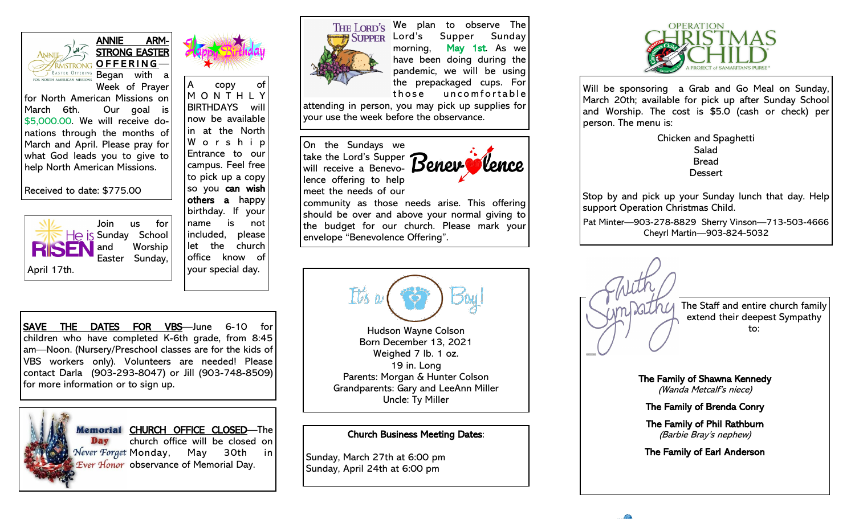

ANNIE ARM-STRONG EASTER OFFERING-Began with a



Week of Prayer for North American Missions on March 6th. Our goal is \$5,000.00. We will receive donations through the months of March and April. Please pray for what God leads you to give to help North American Missions.

Received to date: \$775.00



copy of M O N T H L Y BIRTHDAYS will now be available in at the North W o r s h i p Entrance to our campus. Feel free to pick up a copy so you can wish others a happy birthday. If your name is not included, please let the church office know of your special day.



THE LORD'S We plan to observe The SUPPER Lord's Supper Sunday morning, May 1st. As we have been doing during the pandemic, we will be using the prepackaged cups. For those uncomfortable

attending in person, you may pick up supplies for your use the week before the observance.

On the Sundays we take the Lord's Supper will receive a Benevolence offering to help meet the needs of our



community as those needs arise. This offering should be over and above your normal giving to the budget for our church. Please mark your envelope "Benevolence Offering".



Sunday, March 27th at 6:00 pm Sunday, April 24th at 6:00 pm



Will be sponsoring a Grab and Go Meal on Sunday, March 20th; available for pick up after Sunday School and Worship. The cost is \$5.0 (cash or check) per person. The menu is:

> Chicken and Spaghetti Salad Bread **Dessert**

Stop by and pick up your Sunday lunch that day. Help support Operation Christmas Child.

Pat Minter—903-278-8829 Sherry Vinson—713-503-4666 Cheyrl Martin—903-824-5032



SAVE THE DATES FOR VBS—June 6-10 for children who have completed K-6th grade, from 8:45 am—Noon. (Nursery/Preschool classes are for the kids of VBS workers only). Volunteers are needed! Please contact Darla (903-293-8047) or Jill (903-748-8509) for more information or to sign up.